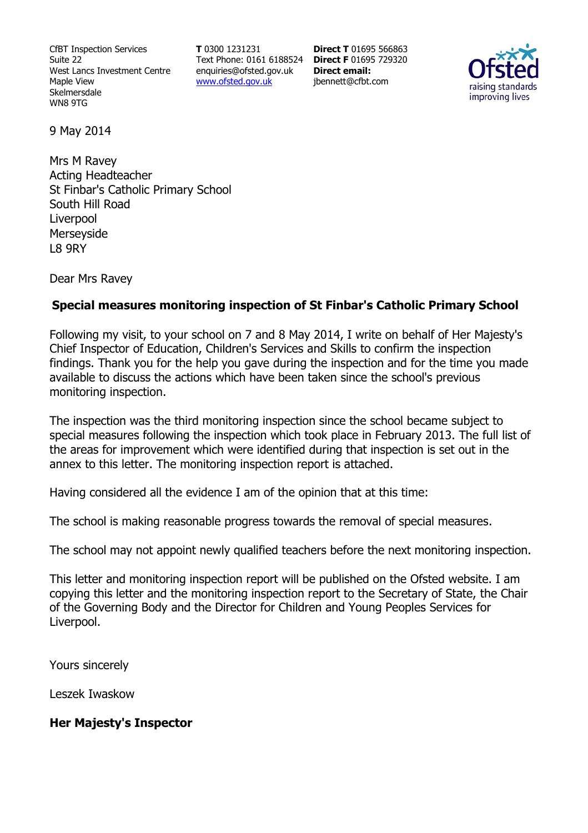CfBT Inspection Services Suite 22 West Lancs Investment Centre Maple View Skelmersdale WN8 9TG

**T** 0300 1231231 Text Phone: 0161 6188524 **Direct F** 01695 729320 enquiries@ofsted.gov.uk www.ofsted.gov.uk

**Direct T** 01695 566863 **Direct email:**  jbennett@cfbt.com



9 May 2014

Mrs M Ravey Acting Headteacher St Finbar's Catholic Primary School South Hill Road Liverpool Merseyside L8 9RY

Dear Mrs Ravey

#### **Special measures monitoring inspection of St Finbar's Catholic Primary School**

Following my visit, to your school on 7 and 8 May 2014, I write on behalf of Her Majesty's Chief Inspector of Education, Children's Services and Skills to confirm the inspection findings. Thank you for the help you gave during the inspection and for the time you made available to discuss the actions which have been taken since the school's previous monitoring inspection.

The inspection was the third monitoring inspection since the school became subject to special measures following the inspection which took place in February 2013. The full list of the areas for improvement which were identified during that inspection is set out in the annex to this letter. The monitoring inspection report is attached.

Having considered all the evidence I am of the opinion that at this time:

The school is making reasonable progress towards the removal of special measures.

The school may not appoint newly qualified teachers before the next monitoring inspection.

This letter and monitoring inspection report will be published on the Ofsted website. I am copying this letter and the monitoring inspection report to the Secretary of State, the Chair of the Governing Body and the Director for Children and Young Peoples Services for Liverpool.

Yours sincerely

Leszek Iwaskow

#### **Her Majesty's Inspector**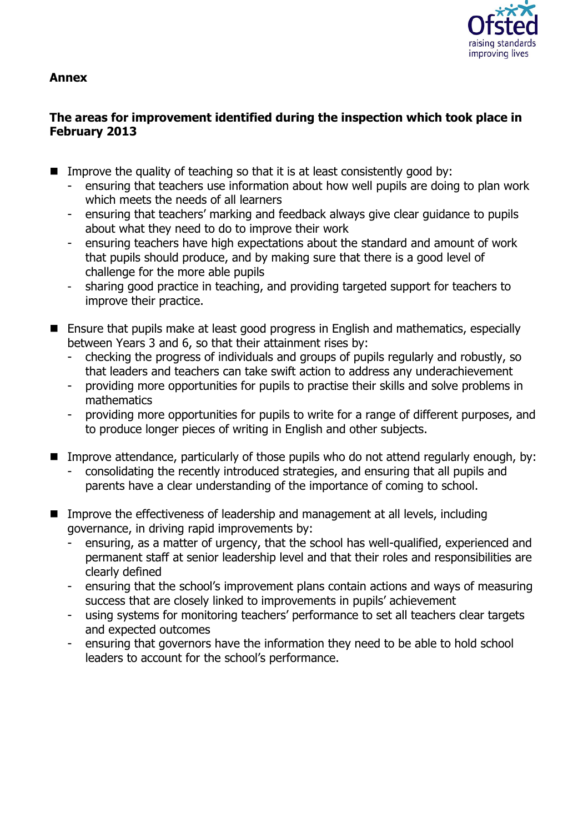

#### **Annex**

# **The areas for improvement identified during the inspection which took place in February 2013**

- Improve the quality of teaching so that it is at least consistently good by:
	- ensuring that teachers use information about how well pupils are doing to plan work which meets the needs of all learners
	- ensuring that teachers' marking and feedback always give clear guidance to pupils about what they need to do to improve their work
	- ensuring teachers have high expectations about the standard and amount of work that pupils should produce, and by making sure that there is a good level of challenge for the more able pupils
	- sharing good practice in teaching, and providing targeted support for teachers to improve their practice.
- Ensure that pupils make at least good progress in English and mathematics, especially between Years 3 and 6, so that their attainment rises by:
	- checking the progress of individuals and groups of pupils regularly and robustly, so that leaders and teachers can take swift action to address any underachievement
	- providing more opportunities for pupils to practise their skills and solve problems in mathematics
	- providing more opportunities for pupils to write for a range of different purposes, and to produce longer pieces of writing in English and other subjects.
- **IMPROVE Attendance, particularly of those pupils who do not attend regularly enough, by:** 
	- consolidating the recently introduced strategies, and ensuring that all pupils and parents have a clear understanding of the importance of coming to school.
- Improve the effectiveness of leadership and management at all levels, including governance, in driving rapid improvements by:
	- ensuring, as a matter of urgency, that the school has well-qualified, experienced and permanent staff at senior leadership level and that their roles and responsibilities are clearly defined
	- ensuring that the school's improvement plans contain actions and ways of measuring success that are closely linked to improvements in pupils' achievement
	- using systems for monitoring teachers' performance to set all teachers clear targets and expected outcomes
	- ensuring that governors have the information they need to be able to hold school leaders to account for the school's performance.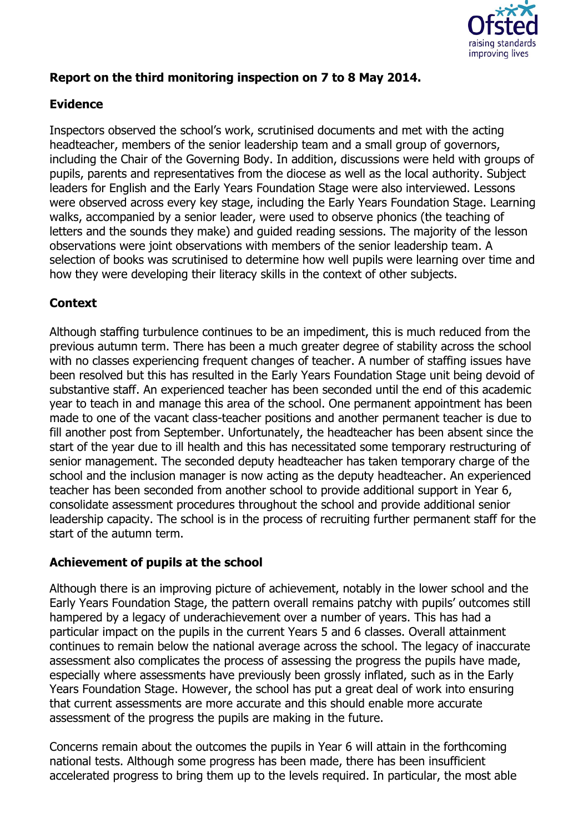

# **Report on the third monitoring inspection on 7 to 8 May 2014.**

#### **Evidence**

Inspectors observed the school's work, scrutinised documents and met with the acting headteacher, members of the senior leadership team and a small group of governors, including the Chair of the Governing Body. In addition, discussions were held with groups of pupils, parents and representatives from the diocese as well as the local authority. Subject leaders for English and the Early Years Foundation Stage were also interviewed. Lessons were observed across every key stage, including the Early Years Foundation Stage. Learning walks, accompanied by a senior leader, were used to observe phonics (the teaching of letters and the sounds they make) and guided reading sessions. The majority of the lesson observations were joint observations with members of the senior leadership team. A selection of books was scrutinised to determine how well pupils were learning over time and how they were developing their literacy skills in the context of other subjects.

## **Context**

Although staffing turbulence continues to be an impediment, this is much reduced from the previous autumn term. There has been a much greater degree of stability across the school with no classes experiencing frequent changes of teacher. A number of staffing issues have been resolved but this has resulted in the Early Years Foundation Stage unit being devoid of substantive staff. An experienced teacher has been seconded until the end of this academic year to teach in and manage this area of the school. One permanent appointment has been made to one of the vacant class-teacher positions and another permanent teacher is due to fill another post from September. Unfortunately, the headteacher has been absent since the start of the year due to ill health and this has necessitated some temporary restructuring of senior management. The seconded deputy headteacher has taken temporary charge of the school and the inclusion manager is now acting as the deputy headteacher. An experienced teacher has been seconded from another school to provide additional support in Year 6, consolidate assessment procedures throughout the school and provide additional senior leadership capacity. The school is in the process of recruiting further permanent staff for the start of the autumn term.

#### **Achievement of pupils at the school**

Although there is an improving picture of achievement, notably in the lower school and the Early Years Foundation Stage, the pattern overall remains patchy with pupils' outcomes still hampered by a legacy of underachievement over a number of years. This has had a particular impact on the pupils in the current Years 5 and 6 classes. Overall attainment continues to remain below the national average across the school. The legacy of inaccurate assessment also complicates the process of assessing the progress the pupils have made, especially where assessments have previously been grossly inflated, such as in the Early Years Foundation Stage. However, the school has put a great deal of work into ensuring that current assessments are more accurate and this should enable more accurate assessment of the progress the pupils are making in the future.

Concerns remain about the outcomes the pupils in Year 6 will attain in the forthcoming national tests. Although some progress has been made, there has been insufficient accelerated progress to bring them up to the levels required. In particular, the most able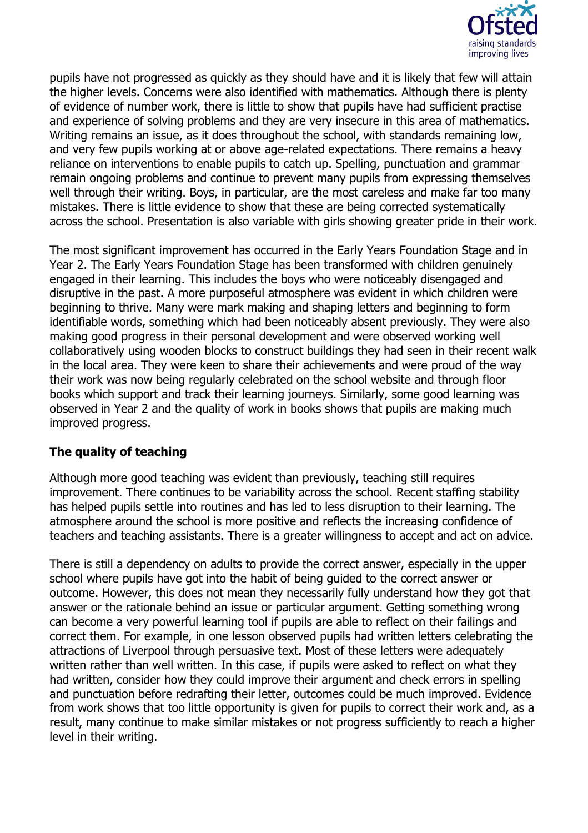

pupils have not progressed as quickly as they should have and it is likely that few will attain the higher levels. Concerns were also identified with mathematics. Although there is plenty of evidence of number work, there is little to show that pupils have had sufficient practise and experience of solving problems and they are very insecure in this area of mathematics. Writing remains an issue, as it does throughout the school, with standards remaining low, and very few pupils working at or above age-related expectations. There remains a heavy reliance on interventions to enable pupils to catch up. Spelling, punctuation and grammar remain ongoing problems and continue to prevent many pupils from expressing themselves well through their writing. Boys, in particular, are the most careless and make far too many mistakes. There is little evidence to show that these are being corrected systematically across the school. Presentation is also variable with girls showing greater pride in their work.

The most significant improvement has occurred in the Early Years Foundation Stage and in Year 2. The Early Years Foundation Stage has been transformed with children genuinely engaged in their learning. This includes the boys who were noticeably disengaged and disruptive in the past. A more purposeful atmosphere was evident in which children were beginning to thrive. Many were mark making and shaping letters and beginning to form identifiable words, something which had been noticeably absent previously. They were also making good progress in their personal development and were observed working well collaboratively using wooden blocks to construct buildings they had seen in their recent walk in the local area. They were keen to share their achievements and were proud of the way their work was now being regularly celebrated on the school website and through floor books which support and track their learning journeys. Similarly, some good learning was observed in Year 2 and the quality of work in books shows that pupils are making much improved progress.

## **The quality of teaching**

Although more good teaching was evident than previously, teaching still requires improvement. There continues to be variability across the school. Recent staffing stability has helped pupils settle into routines and has led to less disruption to their learning. The atmosphere around the school is more positive and reflects the increasing confidence of teachers and teaching assistants. There is a greater willingness to accept and act on advice.

There is still a dependency on adults to provide the correct answer, especially in the upper school where pupils have got into the habit of being guided to the correct answer or outcome. However, this does not mean they necessarily fully understand how they got that answer or the rationale behind an issue or particular argument. Getting something wrong can become a very powerful learning tool if pupils are able to reflect on their failings and correct them. For example, in one lesson observed pupils had written letters celebrating the attractions of Liverpool through persuasive text. Most of these letters were adequately written rather than well written. In this case, if pupils were asked to reflect on what they had written, consider how they could improve their argument and check errors in spelling and punctuation before redrafting their letter, outcomes could be much improved. Evidence from work shows that too little opportunity is given for pupils to correct their work and, as a result, many continue to make similar mistakes or not progress sufficiently to reach a higher level in their writing.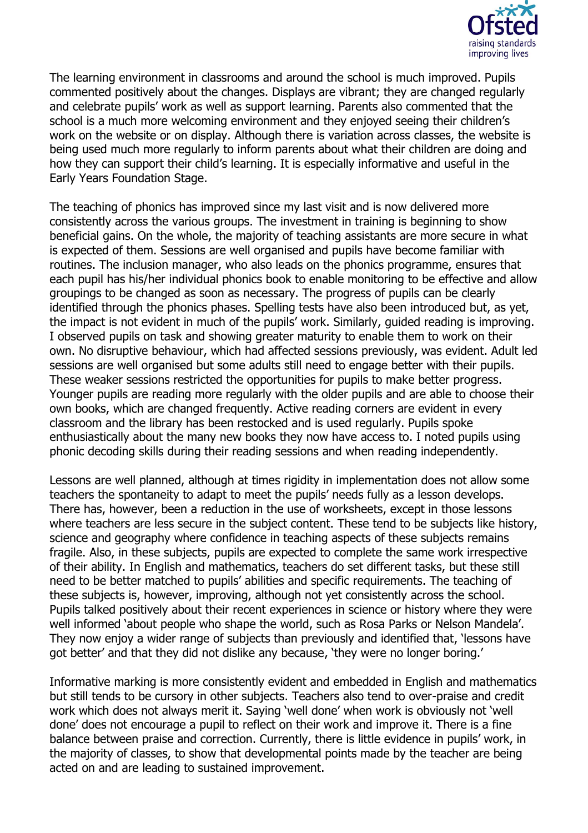

The learning environment in classrooms and around the school is much improved. Pupils commented positively about the changes. Displays are vibrant; they are changed regularly and celebrate pupils' work as well as support learning. Parents also commented that the school is a much more welcoming environment and they enjoyed seeing their children's work on the website or on display. Although there is variation across classes, the website is being used much more regularly to inform parents about what their children are doing and how they can support their child's learning. It is especially informative and useful in the Early Years Foundation Stage.

The teaching of phonics has improved since my last visit and is now delivered more consistently across the various groups. The investment in training is beginning to show beneficial gains. On the whole, the majority of teaching assistants are more secure in what is expected of them. Sessions are well organised and pupils have become familiar with routines. The inclusion manager, who also leads on the phonics programme, ensures that each pupil has his/her individual phonics book to enable monitoring to be effective and allow groupings to be changed as soon as necessary. The progress of pupils can be clearly identified through the phonics phases. Spelling tests have also been introduced but, as yet, the impact is not evident in much of the pupils' work. Similarly, guided reading is improving. I observed pupils on task and showing greater maturity to enable them to work on their own. No disruptive behaviour, which had affected sessions previously, was evident. Adult led sessions are well organised but some adults still need to engage better with their pupils. These weaker sessions restricted the opportunities for pupils to make better progress. Younger pupils are reading more regularly with the older pupils and are able to choose their own books, which are changed frequently. Active reading corners are evident in every classroom and the library has been restocked and is used regularly. Pupils spoke enthusiastically about the many new books they now have access to. I noted pupils using phonic decoding skills during their reading sessions and when reading independently.

Lessons are well planned, although at times rigidity in implementation does not allow some teachers the spontaneity to adapt to meet the pupils' needs fully as a lesson develops. There has, however, been a reduction in the use of worksheets, except in those lessons where teachers are less secure in the subject content. These tend to be subjects like history, science and geography where confidence in teaching aspects of these subjects remains fragile. Also, in these subjects, pupils are expected to complete the same work irrespective of their ability. In English and mathematics, teachers do set different tasks, but these still need to be better matched to pupils' abilities and specific requirements. The teaching of these subjects is, however, improving, although not yet consistently across the school. Pupils talked positively about their recent experiences in science or history where they were well informed 'about people who shape the world, such as Rosa Parks or Nelson Mandela'. They now enjoy a wider range of subjects than previously and identified that, 'lessons have got better' and that they did not dislike any because, 'they were no longer boring.'

Informative marking is more consistently evident and embedded in English and mathematics but still tends to be cursory in other subjects. Teachers also tend to over-praise and credit work which does not always merit it. Saying 'well done' when work is obviously not 'well done' does not encourage a pupil to reflect on their work and improve it. There is a fine balance between praise and correction. Currently, there is little evidence in pupils' work, in the majority of classes, to show that developmental points made by the teacher are being acted on and are leading to sustained improvement.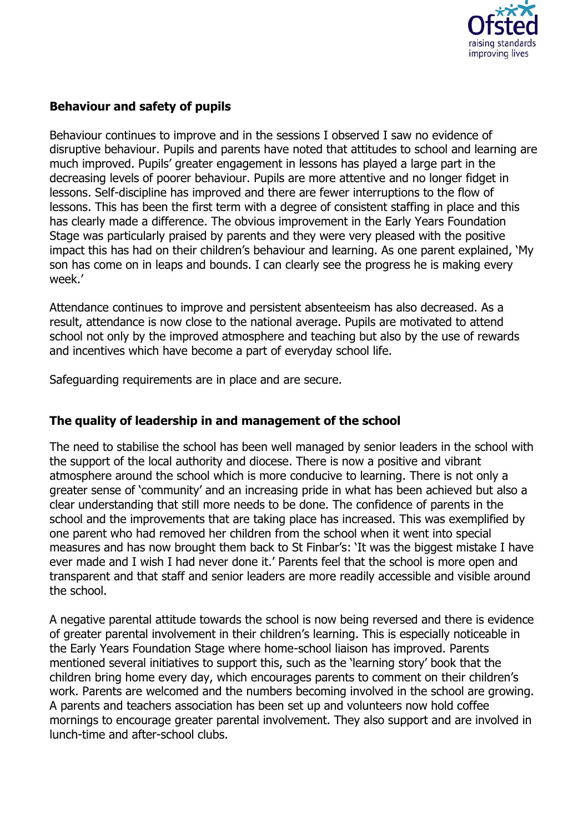

## **Behaviour and safety of pupils**

Behaviour continues to improve and in the sessions I observed I saw no evidence of disruptive behaviour. Pupils and parents have noted that attitudes to school and learning are much improved. Pupils' greater engagement in lessons has played a large part in the decreasing levels of poorer behaviour. Pupils are more attentive and no longer fidget in lessons. Self-discipline has improved and there are fewer interruptions to the flow of lessons. This has been the first term with a degree of consistent staffing in place and this has clearly made a difference. The obvious improvement in the Early Years Foundation Stage was particularly praised by parents and they were very pleased with the positive impact this has had on their children's behaviour and learning. As one parent explained, 'My son has come on in leaps and bounds. I can clearly see the progress he is making every week.'

Attendance continues to improve and persistent absenteeism has also decreased. As a result, attendance is now close to the national average. Pupils are motivated to attend school not only by the improved atmosphere and teaching but also by the use of rewards and incentives which have become a part of everyday school life.

Safeguarding requirements are in place and are secure.

#### **The quality of leadership in and management of the school**

The need to stabilise the school has been well managed by senior leaders in the school with the support of the local authority and diocese. There is now a positive and vibrant atmosphere around the school which is more conducive to learning. There is not only a greater sense of 'community' and an increasing pride in what has been achieved but also a clear understanding that still more needs to be done. The confidence of parents in the school and the improvements that are taking place has increased. This was exemplified by one parent who had removed her children from the school when it went into special measures and has now brought them back to St Finbar's: 'It was the biggest mistake I have ever made and I wish I had never done it.' Parents feel that the school is more open and transparent and that staff and senior leaders are more readily accessible and visible around the school.

A negative parental attitude towards the school is now being reversed and there is evidence of greater parental involvement in their children's learning. This is especially noticeable in the Early Years Foundation Stage where home-school liaison has improved. Parents mentioned several initiatives to support this, such as the 'learning story' book that the children bring home every day, which encourages parents to comment on their children's work. Parents are welcomed and the numbers becoming involved in the school are growing. A parents and teachers association has been set up and volunteers now hold coffee mornings to encourage greater parental involvement. They also support and are involved in lunch-time and after-school clubs.